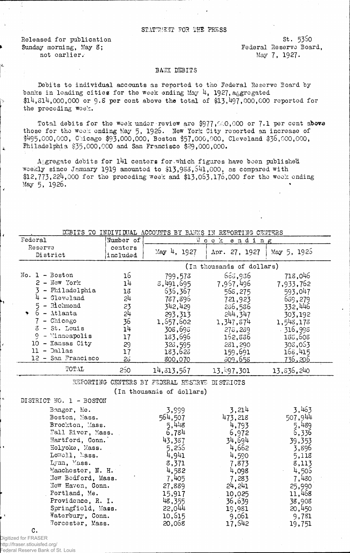## STATEMENT FOR THE PRESS

Released for publication Sunday morning, May 8; not carlier.

 $St. 5350$ Federal Reserve Board, May 7, 1927.

## **BAJK DEBITS**

Debits to individual accounts as reported to the Federal Reserve Board by banks in leading cities for the week ending May 4, 1927, aggregated \$14.314.000.000 or 9.8 per cent above the total of \$13,497,000,000 reported for the preceding woek.

Total debits for the week under review are \$977,600,000 or 7.1 per cent above those for the week ending May 5, 1926. New York City reported an increase of  $*495,000,000$ , Chicago  $*93,000,000$ , Boston  $*57,000,000$ , Cleveland  $*36,000,000$ , Philadelphia \$35,000,000 and San Francisco \$29,000,000.

A gregate debits for  $141$  centers for which figures have been published weekly since January 1919 amounted to \$13,983,541,000, as compared with \$12,773,224,000 for the preceding week and \$13,063,176,000 for the week ending May 5, 1926.

DEBITS TO INDIVIDUAL ACCOUNTS BY BANKS IN REPORTING CENTERS

| Federal                                                                                                                                                                                                                | Number of                                                            |                                                                                                                | Week ending                                                                                                    |                                                                                                                |
|------------------------------------------------------------------------------------------------------------------------------------------------------------------------------------------------------------------------|----------------------------------------------------------------------|----------------------------------------------------------------------------------------------------------------|----------------------------------------------------------------------------------------------------------------|----------------------------------------------------------------------------------------------------------------|
| Reserve<br>District                                                                                                                                                                                                    | centers<br>included                                                  | May 4, 1927                                                                                                    | Apr. 27, 1927                                                                                                  | May 5, 1925                                                                                                    |
|                                                                                                                                                                                                                        |                                                                      |                                                                                                                | (In thousands of dollars)                                                                                      |                                                                                                                |
| $No. 1 - Boston$<br>$2 -$ New York<br>- Philadelphia<br>- Gleveland<br>$5 - \text{R}$ chmond<br>$6 - \text{Atlanta}$<br>$\blacktriangledown$<br>- Chicago<br>$3 - St.$ Louis<br>- Minneapolis<br>ò<br>10 - Kansas City | 16<br>1 <sup>1</sup><br>18<br>5ர<br>23<br>54<br>36<br>14<br>17<br>29 | 799,573<br>3,491,695<br>636,367<br>787,896<br>342,429<br>293,313<br>1,557,602<br>308,698<br>183,696<br>328,595 | 653,936<br>7,957,496<br>565,275<br>721,923<br>236,536<br>244,347<br>1,347,674<br>278,289<br>152,836<br>281,290 | 718,046<br>7,933,762<br>593,047<br>689,279<br>332,446<br>303,192<br>1,543,173<br>316,998<br>188,508<br>308,063 |
| $11 - $ Dallas<br>12 - San Francisco                                                                                                                                                                                   | 17<br>26                                                             | 183,623<br>800,070                                                                                             | 159,691<br>309,658                                                                                             | 168,415<br>736,206                                                                                             |
| TOTAL                                                                                                                                                                                                                  | 250                                                                  | 14,313,567                                                                                                     | 13,497,301                                                                                                     | 13,836,240                                                                                                     |

REPORTING CENTERS BY FEDERAL RESTRVE DISTRICTS

(In thousands of dollars)

DISTRICT NO. 1 - BOSTON

| Bangor, Me.                | 3,999   | 3,214   | 3,463   |
|----------------------------|---------|---------|---------|
| Boston, Mass.              | 564,507 | 473,218 | 507,944 |
| Brockton, Mass.            | 5,448   | 4,793   | 5,489   |
| Fall River, Mass.          | 6,784   | 6,972   | 6,336   |
| Hartford, Conn.            | 43,387  | 34,694  | 39,353  |
| Holyoke, Mass.             | 5,255   | 4,662   | 3,896   |
| $L$ o $\pi$ cll, $\&$ ass. | 4,941   | 4,590   | 5,118   |
| Lynn, Mass.                | 8,371   | 7,873   | 8,113   |
| Manchester, N. H.          | 4,582   | 4,098   | 4,505   |
| New Bedford, Mass.         | 7,405   | 7,283   | 7,430   |
| New Haven, Conn.           | 27,889  | 24, 241 | 25,990  |
| Portland, Me.              | 15,917  | 10,025  | 11,468  |
| Providence, R. I.          | 48,355  | 36,639  | 38,908  |
| Springfield, Mass.         | 22,044  | 19,981  | 20,450  |
| Waterbury, Conn.           | 10,615  | 9,061   | 9,781   |
| Morcester, Mass.           | 20,068  | 17.542  | 19,751  |

c. Digitized for FRASER

http://fraser.stlouisfed.org/ Federal Reserve Bank of St. Louis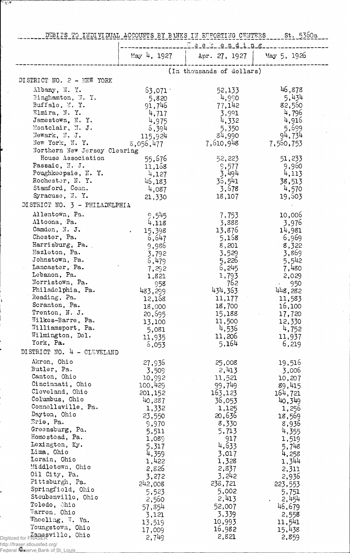| DEBITS TO INDIVIDUAL ACCOUNTS BY BANKS IN REPORTING CENTERS St. 5360a |             |                             |                |
|-----------------------------------------------------------------------|-------------|-----------------------------|----------------|
|                                                                       | May 4, 1927 | Weekending<br>Apr. 27, 1927 | $May\ 5, 1926$ |
|                                                                       |             | (In thousands of dollars)   |                |
| DISTRICT NO. 2 - NEW YORK                                             |             |                             |                |
| Albany, N. Y.                                                         | 63,071      | 52,133                      | 46,878         |
| Binghamton, N.Y.                                                      | 5,820       | 4,990                       | 5,434          |
| Buffalo, N.Y.                                                         | 91,746      | 77,142                      | 82,560         |
| Elmira, N.Y.                                                          | 4,717       | 3,991                       | 4,796          |
| Jamestown, N.Y.                                                       | 4,975       | 4,332                       | 4,916          |
| Montclair, N. J.                                                      | 6,394       | 5,350                       | 5,699          |
| Newark, N. J.                                                         | 115,924     | 84,990                      | 94,734         |
| New York, N.Y.                                                        | 8,056,477   | 7,610,948                   | 7,560,753      |
| Northern New Jersey Clearing                                          |             |                             |                |
| House Association                                                     | 55,676      | 52,223                      | 51,233         |
| Passaic, N. J.                                                        | 11,158      | 9,577                       | 9,960          |
| Poughkeepsie, N.Y.                                                    | 4,127       | 3,494                       | 4,113          |
| Rochester, N.Y.                                                       | 45,183      | 36,541                      | 38,513         |
| Stamford, Conn.                                                       | 4,087       | 3,678                       | 4,570          |
| Syracuse, N.Y.                                                        | 21,330      | 18,107                      | 19,503         |
| DISTRICT NO. 3 - PHILADELPHIA                                         |             |                             |                |
| Allentown, Pa.                                                        |             |                             |                |
| Altoona, Pa.                                                          | 9,545       | 7,753                       | 10,006         |
| Camden, N. J.                                                         | 4,118       | 3,888<br>13,876             | 3,976          |
| Chester, Pa.                                                          | 15,398      |                             | 14,981         |
| Harrisburg, Pa.                                                       | 6,647       | 5,168                       | 6,969          |
| Hazleton, Pa.                                                         | 9,986       | 8,201                       | 8,322          |
| Johnstown, Pa.                                                        | 3,792       | 3,529                       | 3,869          |
| Lancaster, Pa.                                                        | 6,479       | 5,226                       | 5,542          |
| Lebanon, Pa.                                                          | 7,292       | 6,245                       | 7,480          |
| Norristown, Pa.                                                       | 1,821       | 1,793                       | 2,029          |
| Philadelphia, Pa.                                                     | 958         | 762                         | 950            |
| Reading, Pa.                                                          | 483,299     | 434,363                     | 448,282        |
|                                                                       | 12,168      | 11,177                      | 11,583         |
| Scranton, Pa.                                                         | 18,000      | 18,700                      | 16,100         |
| Trenton, N. J.                                                        | 20,695      | 15,188                      | 17,720         |
| Wilkes-Barre, Pa.                                                     | 13,100      | 11,500                      | 12,330         |
| Williamsport, Pa.                                                     | 5,081       | 4,536                       | 4,752          |
| Wilmington, Del.                                                      | 11,935      | 11,206                      | 11,937         |
| York, Pa.                                                             | 6,053       | 5,164                       | 6,219          |
| DISTRICT NO. 4 - CLEVELAND                                            |             |                             |                |
| Akron, Ohio                                                           | 27,936      | 25,008                      | 19,516         |
| Butler, Pa.                                                           | 3,509       | 2,413                       | $-3,006$       |
| Canton, Ohio                                                          | 10,992      | 11,521                      | 10,207         |
| Cincinnati, Ohio                                                      | 100,429     | 99,749                      | 89,415         |
| Cleveland, Ohio                                                       | 201,152     | 163,123                     | 164,721        |
| Columbus, Ohio                                                        | 40,887      | 36,053                      | 40,349         |
| Connellsville, Pa.                                                    | 1,332       | 1,125                       | 1,256          |
| Dayton, Ohio                                                          | 23,550      | 20,636                      | 18,569         |
| Erie, Pa.                                                             | 9,970       | 8,330                       | 8,936          |
| Greensburg, Pa.                                                       | 5,511       | 5,713                       | 4,355          |
| Homestead, Pa.                                                        | 1,089       | 917                         | 1,519          |
| Lexington, Ky.                                                        | 5,317       | 4,633                       | 5,748          |
| Lima, Ohio                                                            | 4,359       | 3,017                       | 4,258          |
| Lorain, Ohio                                                          | 1,422       | 1,328                       | 1,344          |
| Middletown, Ohio                                                      | 2,826       | 2,837                       | 2,311          |
| Oil City, Pa.                                                         |             | 3,242                       |                |
| Pittsburgh, Pa.                                                       | 3,272       |                             | 2,936          |
| Springfield, Ohio                                                     | 242,008     | 238,721                     | 223,553        |
| Steubenville, Ohio                                                    | 5,523       | 5,002                       | 5,751          |
| Toledo, Ohio                                                          | 2,560       | 2,413                       | 2,454          |
| Warren, Ohio                                                          | 57,854      | 52,007                      | 46,679         |
| Wheeling, W. Va.                                                      | 3,121       | 3,339                       | 2,558          |
| Youngstown, Ohio                                                      | 13,519      | 10,993                      | 11,541         |
|                                                                       | 17,009      | 16,982                      | 15,438         |
| Digitized for FRASER villo, Ohio                                      | 2,749       | 2,821                       | 2,859          |

http://fraser.stlouisfed.org/

بغيبية

Federal Reserve Bank of St. Louis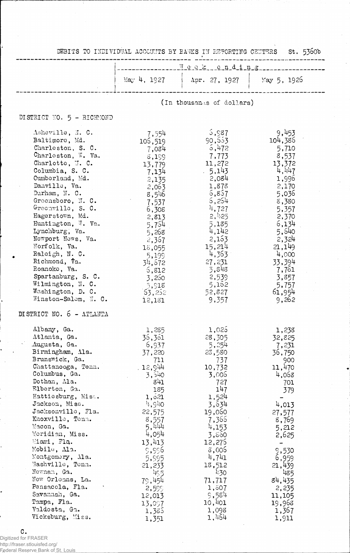|                                                                                                                                                                                                                                                                                                                                                                                                                                                                              |                                                                                                                                                                                                                                                | Week chding                                                                                                                                                                                                                            |                                                                                                                                                                                                                      |  |  |
|------------------------------------------------------------------------------------------------------------------------------------------------------------------------------------------------------------------------------------------------------------------------------------------------------------------------------------------------------------------------------------------------------------------------------------------------------------------------------|------------------------------------------------------------------------------------------------------------------------------------------------------------------------------------------------------------------------------------------------|----------------------------------------------------------------------------------------------------------------------------------------------------------------------------------------------------------------------------------------|----------------------------------------------------------------------------------------------------------------------------------------------------------------------------------------------------------------------|--|--|
|                                                                                                                                                                                                                                                                                                                                                                                                                                                                              | $\text{May } 4, 1927$                                                                                                                                                                                                                          | Apr. 27, 1927                                                                                                                                                                                                                          | May 5, 1926                                                                                                                                                                                                          |  |  |
|                                                                                                                                                                                                                                                                                                                                                                                                                                                                              |                                                                                                                                                                                                                                                | (In thousands of dollars)                                                                                                                                                                                                              |                                                                                                                                                                                                                      |  |  |
| DISTRICT NO. 5 - RICHMOND                                                                                                                                                                                                                                                                                                                                                                                                                                                    |                                                                                                                                                                                                                                                |                                                                                                                                                                                                                                        |                                                                                                                                                                                                                      |  |  |
| Asheville, N. C.<br>Baltimore, Md.<br>Charleston, S. C.<br>Charleston, W. Va.<br>Charlotte, J.C.<br>Columbia, S. C.<br>Cumberland, Md.<br>Danville, Va.<br>Durham, N. C.<br>Greensboro, N. C.<br>Greenville, S. C.<br>Hagerstown, Md.<br>Huntington, W. Va.<br>Lynchburg, Va.<br>Newport News, Va.<br>Norfolk, Va.<br>Raleigh, N. C.<br>Richmond, Va.<br>Roanoke, Va.<br>Spartanburg, S. C.<br>Wilmington, N. C.<br>Washington, D. C.<br>Winston-Salem, N. C.                | 7,554<br>106,519<br>7,084<br>8,199<br>13,779<br>7,134<br>2,135<br>2,063<br>8,546<br>7,537<br>6,308<br>2,813<br>5,754<br>5,268<br>2,367<br>18,055<br>5,199<br>34,672<br>5,812<br>3,250<br>5,918<br>63,252<br>12,181                             | 5,987<br>90,553<br>5,472<br>7,773<br>11,272<br>5,143<br>2,084<br>1,878<br>6,857<br>6,254<br>4,727<br>2,425<br>5,185<br>4,142<br>2,153<br>15,214<br>4,363<br>27,231<br>5,848<br>2,539<br>5,152<br>52,827<br>9,357                       | 9,453<br>104,386<br>5,710<br>8,537<br>13,372<br>4,447<br>1,996<br>2,170<br>5,036<br>8,380<br>5,357<br>2,370<br>6,134<br>5,640<br>2,324<br>21,149<br>4,000<br>33,394<br>7,761<br>3,857<br>5,757<br>61,954<br>9,262    |  |  |
| DISTRICT NO. 6 - ATLANTA                                                                                                                                                                                                                                                                                                                                                                                                                                                     |                                                                                                                                                                                                                                                |                                                                                                                                                                                                                                        |                                                                                                                                                                                                                      |  |  |
| Albany, Ga.<br>Atlanta, Ga.<br>Augusta, Ga.<br>Birmingham, Ala.<br>Brunswick, Ga.<br>Chattanooga, Tenn.<br>Columbus, Ga.<br>Dothan, Ma.<br>Flberton, Ga.<br>Hattiesburg, Mist.<br>Jackson, Miss.<br>Jacksonville, Fla.<br>Knoxville, Tenn.<br>Macon, Ga.<br>Moridian, Miss.<br>Miami, Fla.<br>Mobile, Ala.<br>Montgomery, Ma.<br>Mashville, Tonn.<br>Newnan, Ga.<br>New Orleans, La.<br>Pensacola, Fla.<br>Savannah, Ga.<br>Tampa, Fla.<br>Valdosta, Ga.<br>Vicksburg, Miss. | 1,285<br>36,361<br>6,937<br>37,220<br>711<br>, 12,944<br>3,540<br>841<br>185<br>1,621<br>4,940<br>22,575<br>8,557<br>5,444<br>4,054<br>13,413<br>\$99.5<br>5,995<br>21,233<br>$4c\,5$<br>79,454<br>2,599<br>12,013<br>13,097<br>1,385<br>1.351 | 1,025<br>28,305<br>5,254<br>23,580<br>737<br>10,732<br>3,006<br>727<br>147<br>1,524<br>3,634<br>19,060<br>7,365<br>4,153<br>3,860<br>12,275<br>3,005<br>4,741<br>18,512<br>430<br>71,717<br>1,807<br>9,584<br>10,401<br>1,098<br>1,464 | 1,238<br>32,825<br>7,231<br>36,750<br>900<br>11,470<br>4,068<br>701<br>379<br>4,013<br>27,577<br>8,769<br>5,212<br>2,625<br>9,530<br>6,959<br>21,439<br>485<br>84,435<br>2,235<br>11,105<br>19,968<br>1,367<br>1,911 |  |  |

**C**<br>Digitized for FRASER<br>http://fraser.stlouisfed.org/<br>Federal Reserve Bank of St. Louis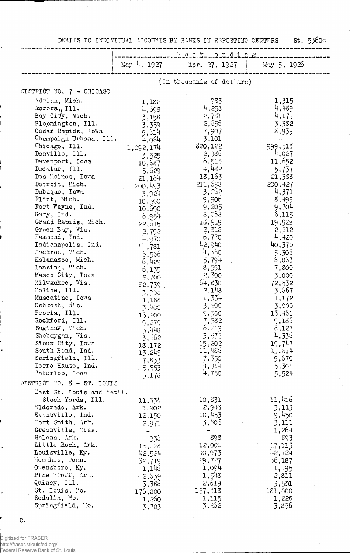DEBITS TO INDIVIDUAL ACCOUNTS BY BANKS IN REPORTING CENTERS

st. 5360c

| May 4, 1927<br>$May\ 5, 1926$<br>Apr. 27, 1927<br>(In thousands of dollars)<br>DISTRICT NO. $7 - CHICA30$<br>Adrian, Mich.<br>983<br>1,315<br>1,182<br>4,489<br>4,253<br>Aurora,, Ill. |  |
|----------------------------------------------------------------------------------------------------------------------------------------------------------------------------------------|--|
|                                                                                                                                                                                        |  |
|                                                                                                                                                                                        |  |
|                                                                                                                                                                                        |  |
|                                                                                                                                                                                        |  |
| 4,698                                                                                                                                                                                  |  |
| Bay City, Mich.<br>4,179<br>2,781<br>3,158                                                                                                                                             |  |
| Bloomington, Ill.<br>2,555<br>3,382<br>3,359                                                                                                                                           |  |
| Cedar Rapids, Iowa<br>7,907<br>8,939<br>9,514                                                                                                                                          |  |
| Champaign-Urbana, Ill.<br>3,101<br>4,054                                                                                                                                               |  |
| 320,122<br>999,518<br>Chicago, Ill.<br>1,092,174                                                                                                                                       |  |
| 2,986<br>4,027<br>Danville, Ill.<br>3,525                                                                                                                                              |  |
| 6,515<br>11,652<br>Davenport, Iowa<br>10,687                                                                                                                                           |  |
| 4,432<br>Decatur, I11.<br>5,737<br>5,629                                                                                                                                               |  |
| 18,163<br>21,338<br>Des Moines, Iowa<br>21,164                                                                                                                                         |  |
| 211,693<br>200,427<br>Detroit, Mich.<br>200, 193<br>3,252<br>4,371                                                                                                                     |  |
| Dubuque, Iowa<br>3,924<br>8,499<br>9,906<br>Flint, Mich.                                                                                                                               |  |
| 10,500<br>9,704<br>9,205<br>Fort Wayne, Ind.                                                                                                                                           |  |
| 10,690<br>8,058<br>Gary, Ind.<br>6,115                                                                                                                                                 |  |
| 6,954<br>13,919<br>Grand Rapids, Mich.<br>19,923                                                                                                                                       |  |
| 22,015<br>Green Bay, Wis.<br>2,815<br>2,212<br>2,792                                                                                                                                   |  |
| 4,420<br>Hammond, Ind.<br>6,770<br>4,970                                                                                                                                               |  |
| 42,940<br>40,370<br>Indianapolis, Ind.<br>44,781                                                                                                                                       |  |
| 4,550<br>Jackson, Mich.<br>5,305<br>5,555                                                                                                                                              |  |
| 5,794<br>6,053<br>Kalamazoo, Mich.<br>6,429                                                                                                                                            |  |
| Lansing, Mich.<br>8,591<br>7,800<br>6,135                                                                                                                                              |  |
| 2,300<br>Mason City, Iowa<br>3,000<br>2,700                                                                                                                                            |  |
| 54,830<br>Milwaukee, Wis.<br>72,532<br>$82,739$ ,                                                                                                                                      |  |
| Moline, Ill.<br>2,148<br>3,667<br>3,955                                                                                                                                                |  |
| Muscatine, Iowa<br>1,334<br>1,172<br>1,188                                                                                                                                             |  |
| Oshkosh, Wis.<br>3,200<br>3,000<br>3,400                                                                                                                                               |  |
| 13,461<br>Peoria, Ill.<br>9,500<br>13,200                                                                                                                                              |  |
| 9,186<br>Rockford, Ill.<br>7,582<br>9,279                                                                                                                                              |  |
| Saginaw, Mich.<br>6,219<br>6,127<br>5,448                                                                                                                                              |  |
| 4,336<br>3,575<br>Sheboygan, Wis.<br>3,562                                                                                                                                             |  |
| 15,202<br>19,747<br>Sioux City, Iowa<br>18,172<br>11,485<br>11,514<br>South Bend, Ind.                                                                                                 |  |
| 13,245<br>9,670<br>Soringfield, Ill.<br>7,350                                                                                                                                          |  |
| 7,833<br>4,914<br>Terro Haute, Ind.<br>5,301                                                                                                                                           |  |
| $-5,553$<br>4,750<br>5,524<br>Materloo, Iowa<br>5,173                                                                                                                                  |  |
| DISTRICT NO. 8 - ST. LOUIS                                                                                                                                                             |  |
| East St. Louis and Nat'l.                                                                                                                                                              |  |
| 11,416<br>Stock Yards, Ill.<br>11,334<br>10,831                                                                                                                                        |  |
| 2,9.5<br>Ildorado, Ark.<br>3,113<br>1,902                                                                                                                                              |  |
| 10,453<br>9,450<br>Evensville, Ind.<br>12,150                                                                                                                                          |  |
| 3,405<br>Fort Smith, Ark.<br>3,111<br>2,971                                                                                                                                            |  |
| 1,264<br>Greenville, Miss.                                                                                                                                                             |  |
| 898<br>893<br>Helena, Ark.<br>935.                                                                                                                                                     |  |
| Little Rock, Ark.<br>12,002<br>17,113<br>15,228                                                                                                                                        |  |
| 40,973<br>42,124<br>Louisville, Ky.<br>42,524                                                                                                                                          |  |
| Memphis, Tenn.<br>36,187<br>29,727<br>32,719                                                                                                                                           |  |
| 1,094<br>Owensboro, Ky.<br>1,145<br>1,195<br>Pine Bluff, Ark.                                                                                                                          |  |
| 1,548<br>$-2,639$<br>2,811<br>Quincy, Ill.<br>2,619                                                                                                                                    |  |
| 3,501<br>3,385<br>157, 48<br>St. Louis, Mo.<br>181,000                                                                                                                                 |  |
| 175,300<br>Sedalia, Mo.<br>1,115<br>1,228<br>1,250                                                                                                                                     |  |
| Springfield, Mo.<br>3,252<br>3,856<br>3,703                                                                                                                                            |  |

 $\mathtt{C}$  .

.<br>Digitized for FRASER<br>Federal Reserve Bank of St. Louis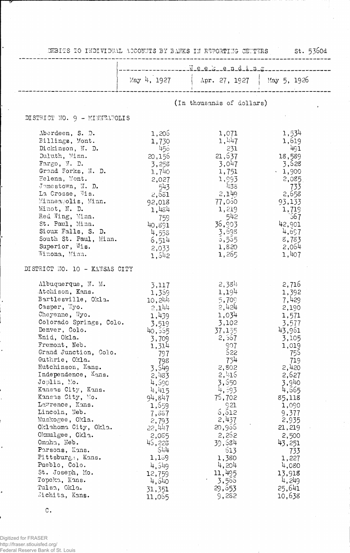|                                                                                                                                                                                                                                                                                                                                                                                                                                                                                                                                                                            |                                                                                                                                                                                                                                                                     | DEBITS TO INDIVIDUAL ACCOMMISSIBLE TERMS IN ESPORTING CENTRES                                                                                                                                                                                                  | 5t. 5300a                                                                                                                                                                                                                                                          |  |
|----------------------------------------------------------------------------------------------------------------------------------------------------------------------------------------------------------------------------------------------------------------------------------------------------------------------------------------------------------------------------------------------------------------------------------------------------------------------------------------------------------------------------------------------------------------------------|---------------------------------------------------------------------------------------------------------------------------------------------------------------------------------------------------------------------------------------------------------------------|----------------------------------------------------------------------------------------------------------------------------------------------------------------------------------------------------------------------------------------------------------------|--------------------------------------------------------------------------------------------------------------------------------------------------------------------------------------------------------------------------------------------------------------------|--|
|                                                                                                                                                                                                                                                                                                                                                                                                                                                                                                                                                                            | -------Week-ending                                                                                                                                                                                                                                                  |                                                                                                                                                                                                                                                                |                                                                                                                                                                                                                                                                    |  |
|                                                                                                                                                                                                                                                                                                                                                                                                                                                                                                                                                                            | $\text{May } 4, 1927$                                                                                                                                                                                                                                               | $\vert$ Apr. 27, 1927 $\vert$ May 5, 1926                                                                                                                                                                                                                      |                                                                                                                                                                                                                                                                    |  |
|                                                                                                                                                                                                                                                                                                                                                                                                                                                                                                                                                                            |                                                                                                                                                                                                                                                                     | (In thousands of dollars)                                                                                                                                                                                                                                      |                                                                                                                                                                                                                                                                    |  |
| DISTRICT NO. 9 - MINNEAPOLIS                                                                                                                                                                                                                                                                                                                                                                                                                                                                                                                                               |                                                                                                                                                                                                                                                                     |                                                                                                                                                                                                                                                                |                                                                                                                                                                                                                                                                    |  |
| Aberdeen, S. D.<br>Billings, Mont.<br>Dickinson, N. D.<br>Duluth, Minn.<br>$\text{Fargo}, \text{W. D.}$<br>Grand Forks, N. D.<br>Helena, Mont.<br>Jomestown, N. D.<br>La Crosse, Vis.<br>Minneapolis, Minn.<br>Minot, N. D.<br>Red Wing, Minn.<br>St. Paul, Minn.<br>Sioux Falls, S. D.<br>South St. Paul, Minn.<br>Superior, Wis.<br>Winona, Mian.                                                                                                                                                                                                                        | 1,205<br>1,730<br>456<br>20,156<br>3,258<br>1,740<br>2,027<br>543<br>2,581<br>92,018<br>1,484<br>759<br>40,891<br>4,558<br>6,514<br>2,033<br>1,542                                                                                                                  | 1,071<br>1,447<br>231<br>21,637<br>3,047<br>1,751<br>1,993<br>438<br>2,149<br>77,050<br>1,219<br>542<br>36,903<br>3,698<br>5,555<br>1,820<br>1,265                                                                                                             | 1,534<br>1,619<br>491<br>18,589<br>3,528<br>$\cdot$ 1,900<br>2,085<br>733<br>2,658<br>93,133<br>1,719<br>567<br>42,901<br>4,657<br>8,783<br>2,064<br>1,407                                                                                                         |  |
| DISTRICT NO. 10 - KANSAS CITY                                                                                                                                                                                                                                                                                                                                                                                                                                                                                                                                              |                                                                                                                                                                                                                                                                     |                                                                                                                                                                                                                                                                |                                                                                                                                                                                                                                                                    |  |
| Albuquerque, N. M.<br>Atchison, Kans.<br>Bartlesville, Okla.<br>Casper, Wyo.<br>Cheyenne, Wyo.<br>Colorado Springs, Colo.<br>Denver, Colo.<br>Enid, Okla.<br>Fremont, Neb.<br>Grand Junction, Colo.<br>Guthrie, Okla.<br>Hutchinson, Kans.<br>Independence, Xans.<br>Joplin, Mo.<br>Kansas City, Kans.<br>Kansas City, Mo.<br>Lawrence, Kans.<br>Lincoln, Neb.<br>Muskogee, Okla.<br>Oklahoma City, Okla.<br>Okmulgee, Okla.<br>Omaha, Neb.<br>Parsons, Kans.<br>Pittsburg .; Kans.<br>Pueblo, Colo.<br>St. Joseph, Mo.<br>Topeka, Kans.<br>Tulsa, Okla.<br>Jichita, Kans. | 3,117<br>1,359<br>10,244<br>2,144<br>1,439<br>3,519<br>40,555<br>3,709<br>1,314<br>797<br>798<br>3,549<br>2,483<br>4,590<br>4,415<br>94,847<br>1,659<br>7,867<br>2,793<br>22,447<br>2,055<br>45,223<br>544<br>1,159<br>4,549<br>12,759<br>4,540<br>31,351<br>11,065 | 2,384<br>1,194<br>5,709<br>2,424<br>1,034<br>3,102<br>37,155<br>2,567<br>907<br>522<br>754<br>2,802<br>2,415<br>3,550<br>4,593<br>75,702<br>921<br>6, 612<br>2,437<br>20,965<br>2,262<br>39,584<br>513<br>1,380<br>4,204<br>11,495<br>3,565<br>29,653<br>9,282 | 2,716<br>1,392<br>7,429<br>2,190<br>1,571<br>3,577<br>43,961<br>3,105<br>1,019<br>756<br>719<br>2,420<br>2,627<br>3,940<br>4,665<br>85,118<br>1,090<br>9,377<br>2,935<br>21,219<br>2,500<br>43,251<br>733<br>1,227<br>4,080<br>13,918<br>4,249<br>25,641<br>10,638 |  |

 $\sim$ 

 $\epsilon$ 

 $\mathtt{C}$  .

Digitized for FRASER<br>http://fraser.stlouisfed.org/<br>Federal Reserve Bank of St. Louis

è